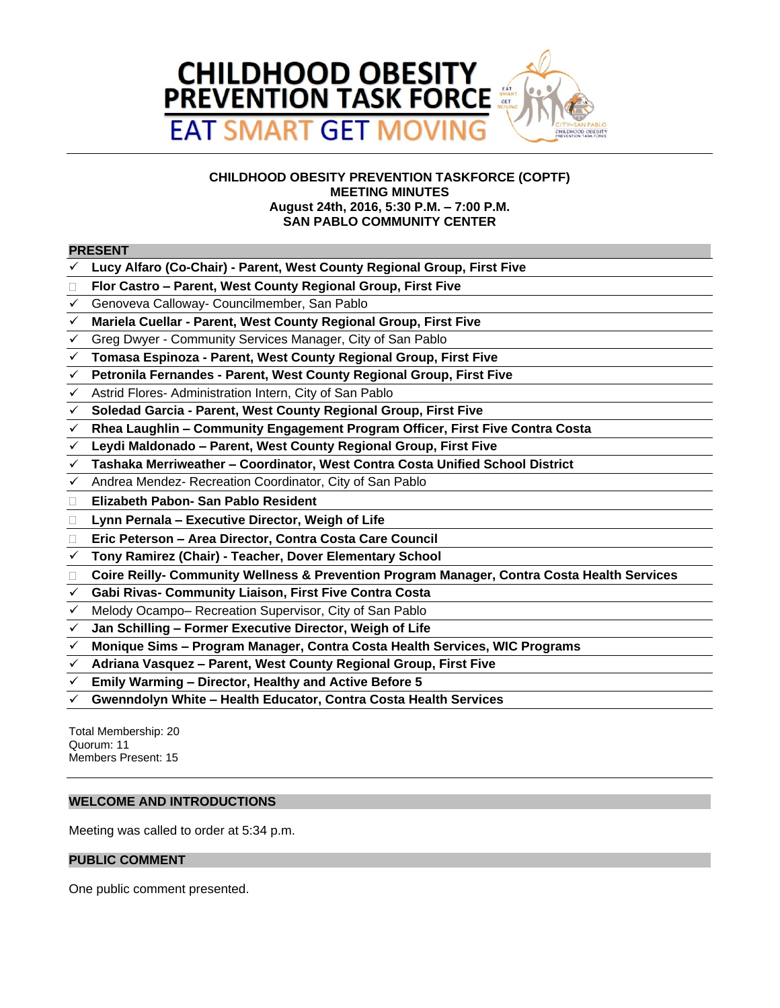

## **CHILDHOOD OBESITY PREVENTION TASKFORCE (COPTF) MEETING MINUTES August 24th, 2016, 5:30 P.M. – 7:00 P.M. SAN PABLO COMMUNITY CENTER**

#### **PRESENT**

- **Lucy Alfaro (Co-Chair) Parent, West County Regional Group, First Five**
- **Flor Castro – Parent, West County Regional Group, First Five**
- Genoveva Calloway- Councilmember, San Pablo
- **Mariela Cuellar Parent, West County Regional Group, First Five**
- Greg Dwyer Community Services Manager, City of San Pablo
- **Tomasa Espinoza Parent, West County Regional Group, First Five**
- **Petronila Fernandes Parent, West County Regional Group, First Five**
- Astrid Flores- Administration Intern, City of San Pablo
- **Soledad Garcia Parent, West County Regional Group, First Five**
- **Rhea Laughlin – Community Engagement Program Officer, First Five Contra Costa**
- **Leydi Maldonado – Parent, West County Regional Group, First Five**
- **Tashaka Merriweather – Coordinator, West Contra Costa Unified School District**
- Andrea Mendez- Recreation Coordinator, City of San Pablo
- **Elizabeth Pabon- San Pablo Resident**
- **Lynn Pernala – Executive Director, Weigh of Life**
- **Eric Peterson – Area Director, Contra Costa Care Council**
- **Tony Ramirez (Chair) Teacher, Dover Elementary School**
- **Coire Reilly- Community Wellness & Prevention Program Manager, Contra Costa Health Services**
- **Gabi Rivas- Community Liaison, First Five Contra Costa**
- Melody Ocampo– Recreation Supervisor, City of San Pablo
- **Jan Schilling – Former Executive Director, Weigh of Life**
- **Monique Sims – Program Manager, Contra Costa Health Services, WIC Programs**
- **Adriana Vasquez – Parent, West County Regional Group, First Five**
- **Emily Warming – Director, Healthy and Active Before 5**
- **Gwenndolyn White – Health Educator, Contra Costa Health Services**

Total Membership: 20 Quorum: 11 Members Present: 15

## **WELCOME AND INTRODUCTIONS**

Meeting was called to order at 5:34 p.m.

#### **PUBLIC COMMENT**

One public comment presented.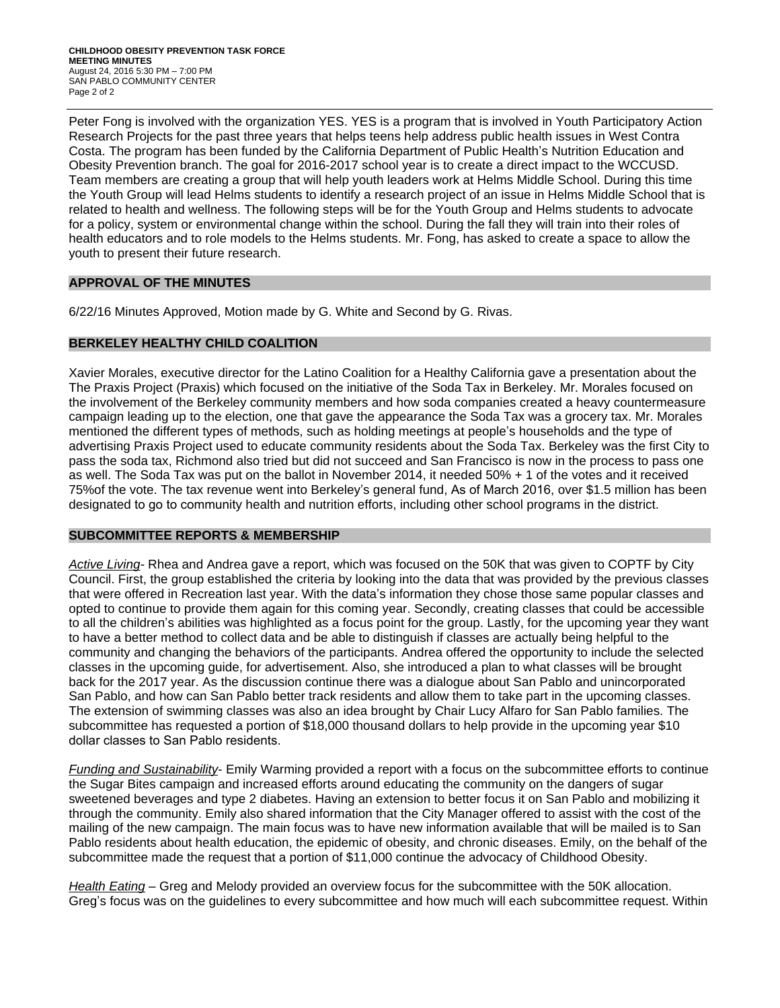Peter Fong is involved with the organization YES. YES is a program that is involved in Youth Participatory Action Research Projects for the past three years that helps teens help address public health issues in West Contra Costa. The program has been funded by the California Department of Public Health's Nutrition Education and Obesity Prevention branch. The goal for 2016-2017 school year is to create a direct impact to the WCCUSD. Team members are creating a group that will help youth leaders work at Helms Middle School. During this time the Youth Group will lead Helms students to identify a research project of an issue in Helms Middle School that is related to health and wellness. The following steps will be for the Youth Group and Helms students to advocate for a policy, system or environmental change within the school. During the fall they will train into their roles of health educators and to role models to the Helms students. Mr. Fong, has asked to create a space to allow the youth to present their future research.

## **APPROVAL OF THE MINUTES**

6/22/16 Minutes Approved, Motion made by G. White and Second by G. Rivas.

# **BERKELEY HEALTHY CHILD COALITION**

Xavier Morales, executive director for the Latino Coalition for a Healthy California gave a presentation about the The Praxis Project (Praxis) which focused on the initiative of the Soda Tax in Berkeley. Mr. Morales focused on the involvement of the Berkeley community members and how soda companies created a heavy countermeasure campaign leading up to the election, one that gave the appearance the Soda Tax was a grocery tax. Mr. Morales mentioned the different types of methods, such as holding meetings at people's households and the type of advertising Praxis Project used to educate community residents about the Soda Tax. Berkeley was the first City to pass the soda tax, Richmond also tried but did not succeed and San Francisco is now in the process to pass one as well. The Soda Tax was put on the ballot in November 2014, it needed 50% + 1 of the votes and it received 75%of the vote. The tax revenue went into Berkeley's general fund, As of March 2016, [over \\$1.5 million has been](http://www.berkeleyside.com/2016/01/20/berkeley-council-approves-1-5m-to-fight-soda-consumption/)  designated to go to community health and nutrition efforts, including other school programs in the district.

## **SUBCOMMITTEE REPORTS & MEMBERSHIP**

*Active Living-* Rhea and Andrea gave a report, which was focused on the 50K that was given to COPTF by City Council. First, the group established the criteria by looking into the data that was provided by the previous classes that were offered in Recreation last year. With the data's information they chose those same popular classes and opted to continue to provide them again for this coming year. Secondly, creating classes that could be accessible to all the children's abilities was highlighted as a focus point for the group. Lastly, for the upcoming year they want to have a better method to collect data and be able to distinguish if classes are actually being helpful to the community and changing the behaviors of the participants. Andrea offered the opportunity to include the selected classes in the upcoming guide, for advertisement. Also, she introduced a plan to what classes will be brought back for the 2017 year. As the discussion continue there was a dialogue about San Pablo and unincorporated San Pablo, and how can San Pablo better track residents and allow them to take part in the upcoming classes. The extension of swimming classes was also an idea brought by Chair Lucy Alfaro for San Pablo families. The subcommittee has requested a portion of \$18,000 thousand dollars to help provide in the upcoming year \$10 dollar classes to San Pablo residents.

*Funding and Sustainability*- Emily Warming provided a report with a focus on the subcommittee efforts to continue the Sugar Bites campaign and increased efforts around educating the community on the dangers of sugar sweetened beverages and type 2 diabetes. Having an extension to better focus it on San Pablo and mobilizing it through the community. Emily also shared information that the City Manager offered to assist with the cost of the mailing of the new campaign. The main focus was to have new information available that will be mailed is to San Pablo residents about health education, the epidemic of obesity, and chronic diseases. Emily, on the behalf of the subcommittee made the request that a portion of \$11,000 continue the advocacy of Childhood Obesity.

*Health Eating* – Greg and Melody provided an overview focus for the subcommittee with the 50K allocation. Greg's focus was on the guidelines to every subcommittee and how much will each subcommittee request. Within